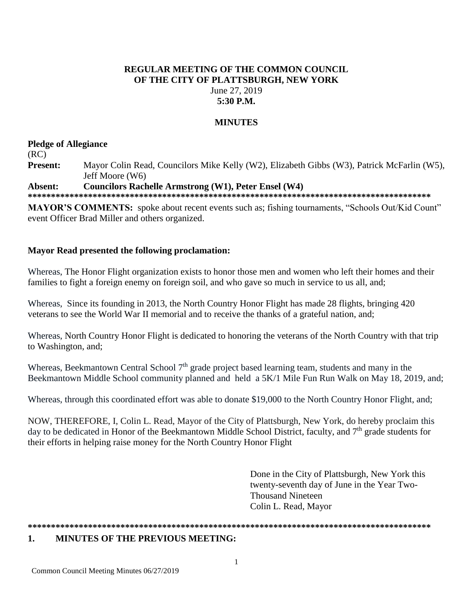## **REGULAR MEETING OF THE COMMON COUNCIL OF THE CITY OF PLATTSBURGH, NEW YORK** June 27, 2019 **5:30 P.M.**

# **MINUTES**

### **Pledge of Allegiance** (RC) **Present:** Mayor Colin Read, Councilors Mike Kelly (W2), Elizabeth Gibbs (W3), Patrick McFarlin (W5), Jeff Moore (W6) **Absent: Councilors Rachelle Armstrong (W1), Peter Ensel (W4) \*\*\*\*\*\*\*\*\*\*\*\*\*\*\*\*\*\*\*\*\*\*\*\*\*\*\*\*\*\*\*\*\*\*\*\*\*\*\*\*\*\*\*\*\*\*\*\*\*\*\*\*\*\*\*\*\*\*\*\*\*\*\*\*\*\*\*\*\*\*\*\*\*\*\*\*\*\*\*\*\*\*\*\*\*\*\***

**MAYOR'S COMMENTS:** spoke about recent events such as; fishing tournaments, "Schools Out/Kid Count" event Officer Brad Miller and others organized.

## **Mayor Read presented the following proclamation:**

Whereas, The Honor Flight organization exists to honor those men and women who left their homes and their families to fight a foreign enemy on foreign soil, and who gave so much in service to us all, and;

Whereas, Since its founding in 2013, the North Country Honor Flight has made 28 flights, bringing 420 veterans to see the World War II memorial and to receive the thanks of a grateful nation, and;

Whereas, North Country Honor Flight is dedicated to honoring the veterans of the North Country with that trip to Washington, and;

Whereas, Beekmantown Central School  $7<sup>th</sup>$  grade project based learning team, students and many in the Beekmantown Middle School community planned and held a 5K/1 Mile Fun Run Walk on May 18, 2019, and;

Whereas, through this coordinated effort was able to donate \$19,000 to the North Country Honor Flight, and;

NOW, THEREFORE, I, Colin L. Read, Mayor of the City of Plattsburgh, New York, do hereby proclaim this day to be dedicated in Honor of the Beekmantown Middle School District, faculty, and 7<sup>th</sup> grade students for their efforts in helping raise money for the North Country Honor Flight

> Done in the City of Plattsburgh, New York this twenty-seventh day of June in the Year Two-Thousand Nineteen Colin L. Read, Mayor

**\*\*\*\*\*\*\*\*\*\*\*\*\*\*\*\*\*\*\*\*\*\*\*\*\*\*\*\*\*\*\*\*\*\*\*\*\*\*\*\*\*\*\*\*\*\*\*\*\*\*\*\*\*\*\*\*\*\*\*\*\*\*\*\*\*\*\*\*\*\*\*\*\*\*\*\*\*\*\*\*\*\*\*\*\*\*\***

# **1. MINUTES OF THE PREVIOUS MEETING:**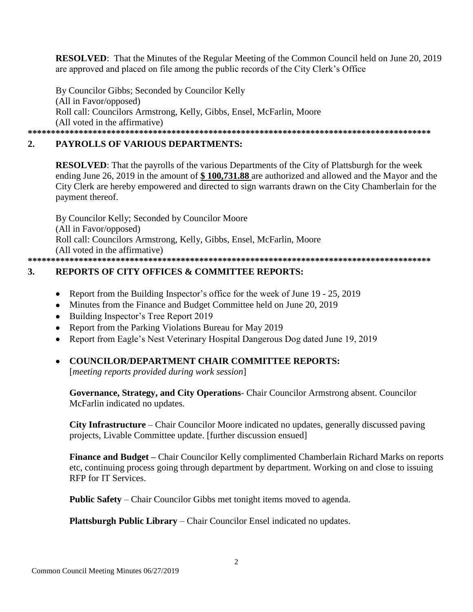**RESOLVED:** That the Minutes of the Regular Meeting of the Common Council held on June 20, 2019 are approved and placed on file among the public records of the City Clerk's Office

By Councilor Gibbs: Seconded by Councilor Kelly (All in Favor/opposed) Roll call: Councilors Armstrong, Kelly, Gibbs, Ensel, McFarlin, Moore (All voted in the affirmative) 

### **PAYROLLS OF VARIOUS DEPARTMENTS:**  $2.$

**RESOLVED:** That the payrolls of the various Departments of the City of Plattsburgh for the week ending June 26, 2019 in the amount of \$100,731.88 are authorized and allowed and the Mayor and the City Clerk are hereby empowered and directed to sign warrants drawn on the City Chamberlain for the payment thereof.

By Councilor Kelly; Seconded by Councilor Moore (All in Favor/opposed) Roll call: Councilors Armstrong, Kelly, Gibbs, Ensel, McFarlin, Moore (All voted in the affirmative) 

#### **3. REPORTS OF CITY OFFICES & COMMITTEE REPORTS:**

- Report from the Building Inspector's office for the week of June 19 25, 2019
- Minutes from the Finance and Budget Committee held on June 20, 2019
- Building Inspector's Tree Report 2019
- Report from the Parking Violations Bureau for May 2019
- Report from Eagle's Nest Veterinary Hospital Dangerous Dog dated June 19, 2019

# • COUNCILOR/DEPARTMENT CHAIR COMMITTEE REPORTS:

[meeting reports provided during work session]

Governance, Strategy, and City Operations- Chair Councilor Armstrong absent. Councilor McFarlin indicated no updates.

**City Infrastructure** – Chair Councilor Moore indicated no updates, generally discussed paying projects, Livable Committee update. [further discussion ensued]

Finance and Budget – Chair Councilor Kelly complimented Chamberlain Richard Marks on reports etc, continuing process going through department by department. Working on and close to issuing RFP for IT Services.

**Public Safety** – Chair Councilor Gibbs met tonight items moved to agenda.

Plattsburgh Public Library – Chair Councilor Ensel indicated no updates.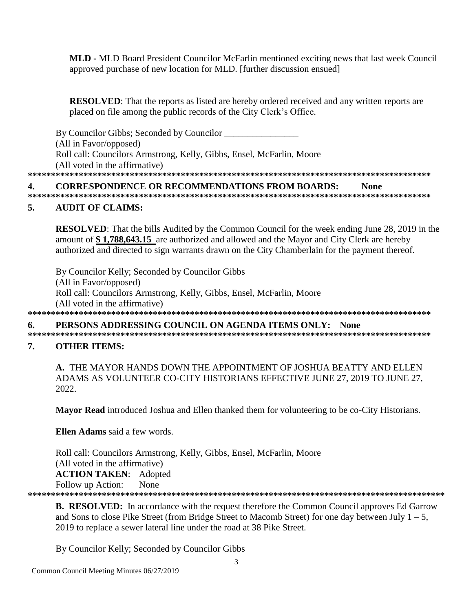**MLD - MLD Board President Councilor McFarlin mentioned exciting news that last week Council** approved purchase of new location for MLD. [further discussion ensued]

**RESOLVED:** That the reports as listed are hereby ordered received and any written reports are placed on file among the public records of the City Clerk's Office.

By Councilor Gibbs; Seconded by Councilor (All in Favor/opposed) Roll call: Councilors Armstrong, Kelly, Gibbs, Ensel, McFarlin, Moore (All voted in the affirmative) 

#### 4. **CORRESPONDENCE OR RECOMMENDATIONS FROM BOARDS: None**

#### $\overline{5}$ . **AUDIT OF CLAIMS:**

**RESOLVED:** That the bills Audited by the Common Council for the week ending June 28, 2019 in the amount of \$1,788,643.15 are authorized and allowed and the Mayor and City Clerk are hereby authorized and directed to sign warrants drawn on the City Chamberlain for the payment thereof.

By Councilor Kelly; Seconded by Councilor Gibbs (All in Favor/opposed) Roll call: Councilors Armstrong, Kelly, Gibbs, Ensel, McFarlin, Moore (All voted in the affirmative) 

### PERSONS ADDRESSING COUNCIL ON AGENDA ITEMS ONLY: None 6.

#### **OTHER ITEMS:** 7.

A. THE MAYOR HANDS DOWN THE APPOINTMENT OF JOSHUA BEATTY AND ELLEN ADAMS AS VOLUNTEER CO-CITY HISTORIANS EFFECTIVE JUNE 27, 2019 TO JUNE 27, 2022.

Mayor Read introduced Joshua and Ellen thanked them for volunteering to be co-City Historians.

Ellen Adams said a few words.

Roll call: Councilors Armstrong, Kelly, Gibbs, Ensel, McFarlin, Moore (All voted in the affirmative) **ACTION TAKEN:** Adopted Follow up Action: None

**B. RESOLVED:** In accordance with the request therefore the Common Council approves Ed Garrow and Sons to close Pike Street (from Bridge Street to Macomb Street) for one day between July  $1 - 5$ , 2019 to replace a sewer lateral line under the road at 38 Pike Street.

By Councilor Kelly; Seconded by Councilor Gibbs